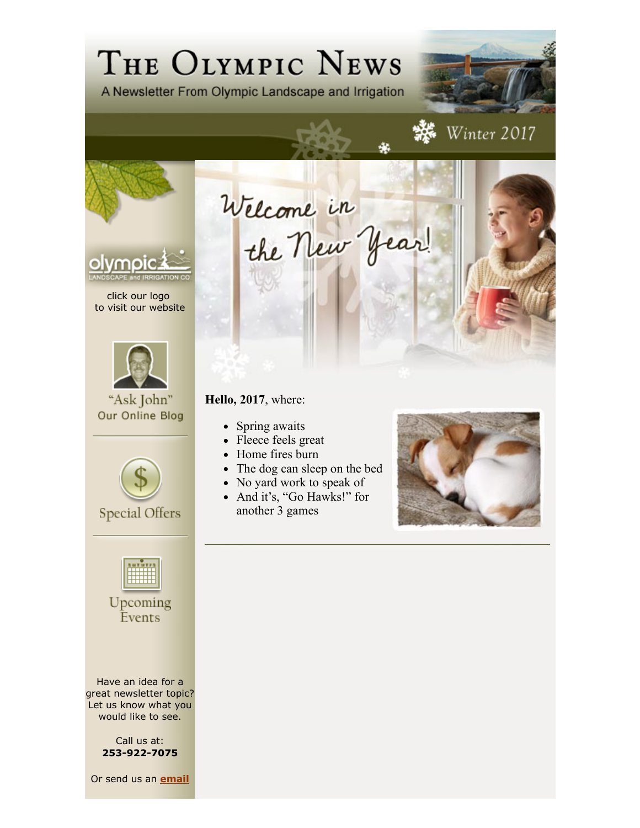# THE OLYMPIC NEWS

A Newsletter From Olympic Landscape and Irrigation



click our logo to visit our website



"Ask John" Our Online Blog



**Special Offers** 

Upcoming Events

Have an idea for a great newsletter topic? Let us know what you would like to see.

> Call us at: **253-922-7075**

Or send us an **email**

**Hello, 2017**, where:

- Spring awaits
- Fleece feels great
- Home fires burn
- The dog can sleep on the bed

Welcome in

- No yard work to speak of
- And it's, "Go Hawks!" for another 3 games



**楼** Winter 2017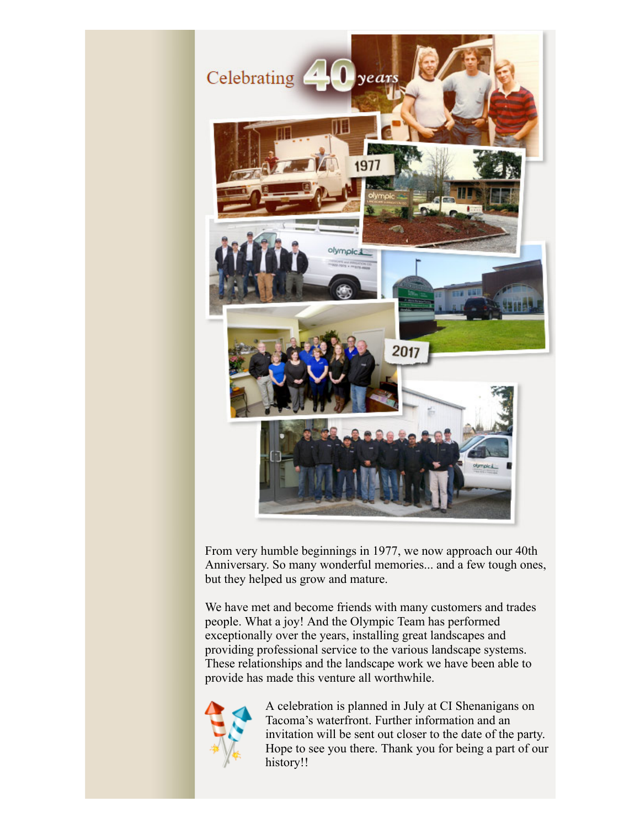

From very humble beginnings in 1977, we now approach our 40th Anniversary. So many wonderful memories... and a few tough ones, but they helped us grow and mature.

We have met and become friends with many customers and trades people. What a joy! And the Olympic Team has performed exceptionally over the years, installing great landscapes and providing professional service to the various landscape systems. These relationships and the landscape work we have been able to provide has made this venture all worthwhile.



A celebration is planned in July at CI Shenanigans on Tacoma's waterfront. Further information and an invitation will be sent out closer to the date of the party. Hope to see you there. Thank you for being a part of our history!!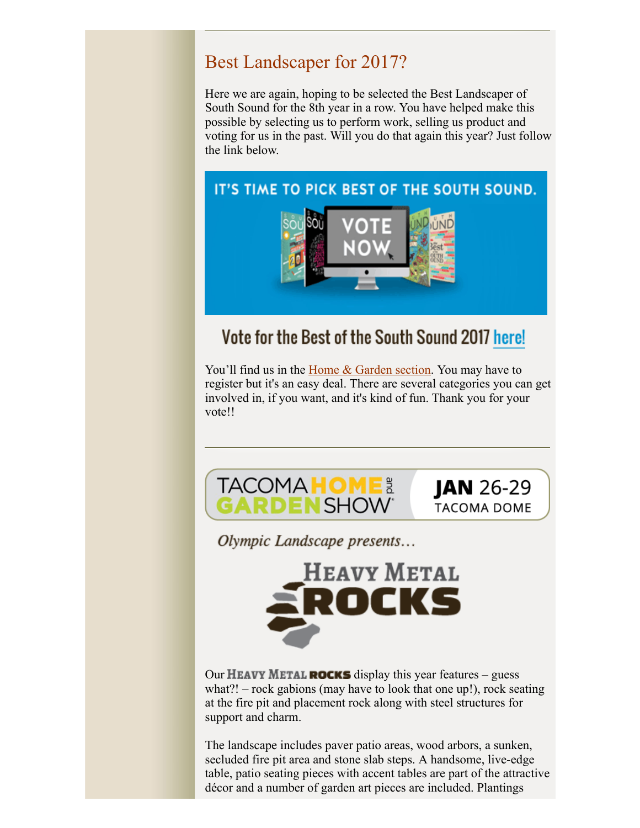### Best Landscaper for 2017?

Here we are again, hoping to be selected the Best Landscaper of South Sound for the 8th year in a row. You have helped make this possible by selecting us to perform work, selling us product and voting for us in the past. Will you do that again this year? Just follow the link below.

#### IT'S TIME TO PICK BEST OF THE SOUTH SOUND.



# Vote for the Best of the South Sound 2017 here!

You'll find us in the **Home & Garden section**. You may have to register but it's an easy deal. There are several categories you can get involved in, if you want, and it's kind of fun. Thank you for your vote!!



Olympic Landscape presents...



Our **HEAVY METAL ROCKS** display this year features – guess what?! – rock gabions (may have to look that one up!), rock seating at the fire pit and placement rock along with steel structures for support and charm.

The landscape includes paver patio areas, wood arbors, a sunken, secluded fire pit area and stone slab steps. A handsome, live-edge table, patio seating pieces with accent tables are part of the attractive décor and a number of garden art pieces are included. Plantings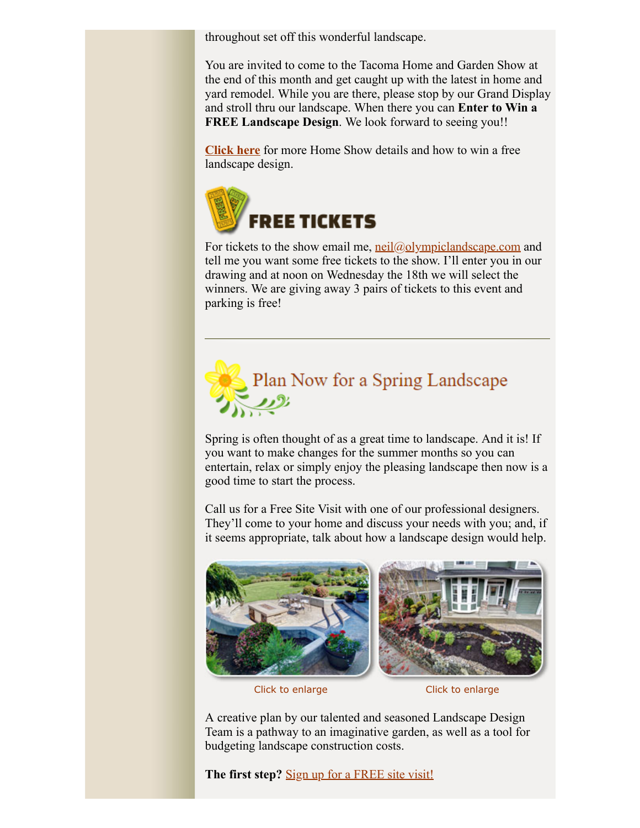throughout set off this wonderful landscape.

You are invited to come to the Tacoma Home and Garden Show at the end of this month and get caught up with the latest in home and yard remodel. While you are there, please stop by our Grand Display and stroll thru our landscape. When there you can **Enter to Win a FREE Landscape Design.** We look forward to seeing you!!

**Click here** for more Home Show details and how to win a free landscape design.



For tickets to the show email me,  $neil(\omega_0|ympiclandscape.com$  and tell me you want some free tickets to the show. I'll enter you in our drawing and at noon on Wednesday the 18th we will select the winners. We are giving away 3 pairs of tickets to this event and parking is free!



Spring is often thought of as a great time to landscape. And it is! If you want to make changes for the summer months so you can entertain, relax or simply enjoy the pleasing landscape then now is a good time to start the process.

Call us for a Free Site Visit with one of our professional designers. They'll come to your home and discuss your needs with you; and, if it seems appropriate, talk about how a landscape design would help.



Click to enlarge Click to enlarge

A creative plan by our talented and seasoned Landscape Design Team is a pathway to an imaginative garden, as well as a tool for budgeting landscape construction costs.

The first step? **Sign up for a FREE site visit!**